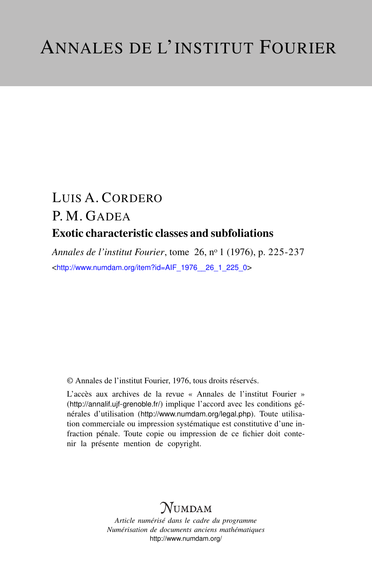# LUIS A. CORDERO P. M. GADEA Exotic characteristic classes and subfoliations

*Annales de l'institut Fourier*, tome 26, n<sup>o</sup> 1 (1976), p. 225-237 <[http://www.numdam.org/item?id=AIF\\_1976\\_\\_26\\_1\\_225\\_0](http://www.numdam.org/item?id=AIF_1976__26_1_225_0)>

© Annales de l'institut Fourier, 1976, tous droits réservés.

L'accès aux archives de la revue « Annales de l'institut Fourier » (<http://annalif.ujf-grenoble.fr/>) implique l'accord avec les conditions générales d'utilisation (<http://www.numdam.org/legal.php>). Toute utilisation commerciale ou impression systématique est constitutive d'une infraction pénale. Toute copie ou impression de ce fichier doit contenir la présente mention de copyright.

# NUMDAM

*Article numérisé dans le cadre du programme Numérisation de documents anciens mathématiques* <http://www.numdam.org/>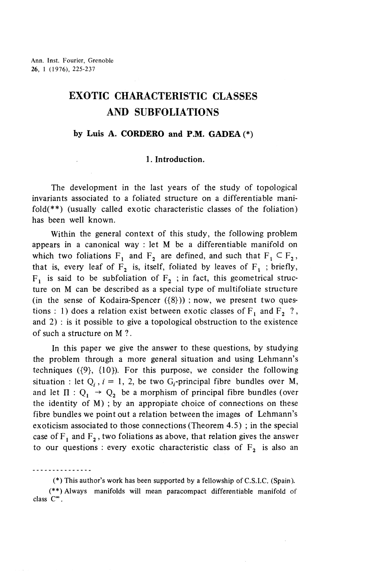# **EXOTIC CHARACTERISTIC CLASSES AND SUBFOLIATIONS**

#### **by Luis A. CORDERO and P.M. GADEA (\*)**

## **1. Introduction.**

The development in the last years of the study of topological invariants associated to a foliated structure on a differentiable manifold(\*\*) (usually called exotic characteristic classes of the foliation) has been well known.

Within the general context of this study, the following problem appears in a canonical way : let M be a differentiable manifold on which two foliations  $F_1$  and  $F_2$  are defined, and such that  $F_1 \subset F_2$ , that is, every leaf of  $F_2$  is, itself, foliated by leaves of  $F_1$ ; briefly,  $F_1$  is said to be subfoliation of  $F_2$ ; in fact, this geometrical structure on M can be described as a special type of multifoliate structure (in the sense of Kodaira-Spencer  $({8})$ ); now, we present two questions : 1) does a relation exist between exotic classes of  $F_1$  and  $F_2$  ?, and 2) : is it possible to give a topological obstruction to the existence of such a structure on M ?.

In this paper we give the answer to these questions, by studying the problem through a more general situation and using Lehmann's techniques  $({9}, {10})$ . For this purpose, we consider the following situation : let  $Q_i$ ,  $i = 1, 2$ , be two  $G_i$ -principal fibre bundles over M, and let  $\Pi$  :  $Q_1 \rightarrow Q_2$  be a morphism of principal fibre bundles (over the identity of M) ; by an appropiate choice of connections on these fibre bundles we point out a relation between the images of Lehmann's exoticism associated to those connections (Theorem 4.5) ; in the special case of  $F_1$  and  $F_2$ , two foliations as above, that relation gives the answer to our questions : every exotic characteristic class of  $F^2$  is also an

(\*) This author's work has been supported by a fellowship ofC.S.I.C. (Spain).

(\*\*) Always manifolds will mean paracompact differentiable manifold of  $\cos$   $C^{\infty}$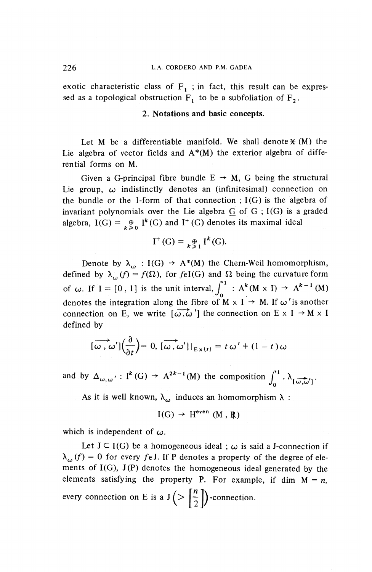exotic characteristic class of  $F_1$ ; in fact, this result can be expressed as a topological obstruction  $F_1$  to be a subfoliation of  $F_2$ .

## **2. Notations and basic concepts.**

Let M be a differentiable manifold. We shall denote  $\mathcal{H}(M)$  the Lie algebra of vector fields and  $A^*(M)$  the exterior algebra of differential forms on M.

Given a G-principal fibre bundle  $E \rightarrow M$ , G being the structural Lie group,  $\omega$  indistinctly denotes an (infinitesimal) connection on the bundle or the 1-form of that connection ;  $I(G)$  is the algebra of invariant polynomials over the Lie algebra  $G$  of  $G$ ; I(G) is a graded algebra,  $I(G) = \bigoplus_{k \geq 0} I^k(G)$  and  $I^+(G)$  denotes its maximal ideal

$$
I^+(G) = \underset{k \geq 1}{\oplus} I^k(G).
$$

Denote by  $\lambda_{\omega} : I(G) \rightarrow A^*(M)$  the Chern-Weil homomorphism, defined by  $\lambda_{ij}^f(f) = f(\Omega)$ , for  $f \in I(G)$  and  $\Omega$  being the curvature form of  $\omega$ . If I = [0, 1] is the unit interval,  $\int_0^1 : A^k(M \times I) \to A^{k-1}(M)$ denotes the integration along the fibre of  $M \times I \rightarrow M$ . If  $\omega'$  is another connection on E, we write  $\left[\overline{\omega,\omega}'\right]$  the connection on E  $\times$  I  $\rightarrow$  M  $\times$  I defined by

$$
[\overrightarrow{\omega}, \omega'](\frac{\partial}{\partial t}) = 0, [\overrightarrow{\omega}, \omega']|_{E \times \{t\}} = t \omega' + (1 - t) \omega
$$

and by  $\Delta_{\omega,\omega'} : I^k(G) \to A^{2k-1}(M)$  the composition  $\int_1^1 \cdot \lambda_{\omega'}$ .

As it is well known,  $\lambda_{\omega}$  induces an homomorphism  $\lambda$  :

$$
I(G) \rightarrow H^{even} (M, R)
$$

which is independent of  $\omega$ .

Let  $J \subset I(G)$  be a homogeneous ideal ;  $\omega$  is said a J-connection if  $\lambda_{\omega}(f) = 0$  for every  $f \in J$ . If P denotes a property of the degree of elements of I(G), J(P) denotes the homogeneous ideal generated by the elements satisfying the property P. For example, if dim  $M = n$ , every connection on E is a  $J(>\frac{n}{2})$ -connection.  $\langle \nabla \left[\frac{1}{2}\right]$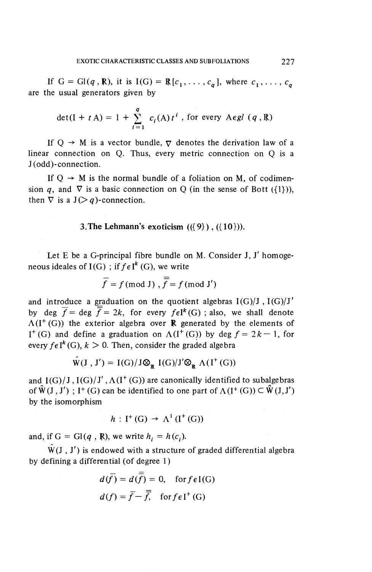If  $G = Gl(q, R)$ , it is  $I(G) = R[c_1, \ldots, c_q]$ , where  $c_1, \ldots, c_q$ are the usual generators given by

$$
\det(I + t A) = 1 + \sum_{i=1}^{q} c_i(A) t^i, \text{ for every } A \in \mathcal{G} \setminus \{q, \mathbb{R}\}
$$

If  $Q \rightarrow M$  is a vector bundle,  $\nabla$  denotes the derivation law of a linear connection on Q, Thus, every metric connection on Q is a J (odd)-connection.

If  $Q \rightarrow M$  is the normal bundle of a foliation on M, of codimension q, and  $\nabla$  is a basic connection on Q (in the sense of Bott ( $\{1\}$ )), then  $\nabla$  is a  $J(\geq q)$ -connection.

### **3.The Lehmann's exoticism (({9}), ({10})).**

Let E be a G-principal fibre bundle on M. Consider J, J' homogeneous ideales of  $I(G)$ ; if  $f \in I^k(G)$ , we write

$$
\overline{f} = f \text{ (mod J)}, \overline{\overline{f}} = f \text{ (mod J')}
$$

and introduce a graduation on the quotient algebras  $I(G)/J$ ,  $I(G)/J'$ by deg  $\overline{f}$  = deg  $\overline{f}$  = 2k, for every  $f \in I^k(G)$ ; also, we shall denote  $\Lambda(I^+(G))$  the exterior algebra over **R** generated by the elements of  $I^+(G)$  and define a graduation on  $\Lambda(I^+(G))$  by deg  $f = 2k-1$ , for every  $f \in I^k(G)$ ,  $k > 0$ . Then, consider the graded algebra

$$
\hat{W}(J, J') = I(G)/J \otimes_R I(G)/J' \otimes_R \Lambda(I^+(G))
$$

and  $I(G)/J$ ,  $I(G)/J'$ ,  $\Lambda(I^+(G))$  are canonically identified to subalgebras of  $\hat{W}(J, J')$ ; I<sup>+</sup> (G) can be identified to one part of  $\Lambda(I^+(G)) \subset \hat{W}(J, J')$ by the isomorphism

$$
h: I^+(G) \to \Lambda^1(I^+(G))
$$

and, if  $G = Gl(q, R)$ , we write  $h_i = h(c_i)$ ,

 $W(J, J')$  is endowed with a structure of graded differential algebra by defining a differential (of degree 1)

$$
d(\overline{f}) = d(\overline{f}) = 0, \text{ for } f \in I(G)
$$

$$
d(f) = \overline{f} - \overline{f}, \text{ for } f \in I^+(G)
$$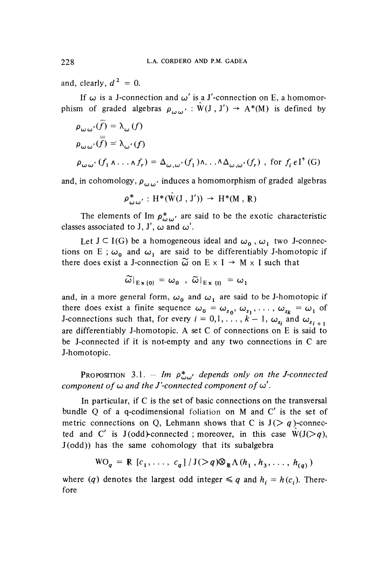and, clearly,  $d^2 = 0$ .

If  $\omega$  is a J-connection and  $\omega'$  is a J'-connection on E, a homomorphism of graded algebras  $\rho_{\alpha\beta}': \hat{W}(J, J') \rightarrow A^*(M)$  is defined by

$$
\rho_{\omega \omega'}(\overline{f}) = \lambda_{\omega}(f)
$$
  
\n
$$
\rho_{\omega \omega'}(\overline{f}) = \lambda_{\omega'}(f)
$$
  
\n
$$
\rho_{\omega \omega'}(f_1 \wedge \ldots \wedge f_r) = \Delta_{\omega, \omega'}(f_1) \wedge \ldots \wedge \Delta_{\omega, \omega'}(f_r) , \text{ for } f_i \in I^+(G)
$$

and, in cohomology,  $\rho$ <sup>*'</sup> ('' '* induces a homomorphism of graded algebras</sup>

$$
\rho^*_{\omega \omega'} : \mathrm{H}^*(\hat{W}(J, J')) \rightarrow \mathrm{H}^*(M, R)
$$

The elements of Im  $p^*_{i\omega}\omega$  are said to be the exotic characteristic classes associated to J, J',  $\omega$  and  $\omega'$ .

Let  $J \subset I(G)$  be a homogeneous ideal and  $\omega_0$ ,  $\omega_1$  two J-connections on E;  $\omega_0$  and  $\omega_1$  are said to be differentiably J-homotopic if there does exist a J-connection  $\tilde{\omega}$  on E  $\times$  I  $\rightarrow$  M  $\times$  I such that

$$
\widetilde{\omega}|_{E \times \{0\}} = \omega_0 \ , \ \widetilde{\omega}|_{E \times \{1\}} = \omega_1
$$

and, in a more general form,  $\omega_0$  and  $\omega_1$  are said to be J-homotopic if there does exist a finite sequence  $\omega_0 = \omega_{s_0}$ ,  $\omega_{s_1}$ ,  $\ldots$ ,  $\omega_{s_k} = \omega_1$  or J-connections such that, for every  $i = 0, 1, \ldots, k-1$ ,  $\omega_{s_i}$  and  $\omega_{s_{i+1}}$ . are differentiably J-homotopic. A set C of connections on E is said to be J-connected if it is not-empty and any two connections in C are J-homotopic.

PROPOSITION 3.1. – Im  $\rho^*_{\mu\nu\rho\sigma}$  depends only on the J-connected *component of*  $\omega$  *and the J'-connected component of*  $\omega'$ *.* 

In particular, if C is the set of basic connections on the transversal bundle Q of a q-codimensional foliation on M and C' is the set of metric connections on Q, Lehmann shows that C is  $J(>q)$ -connected and C' is  $J(odd)$ -connected; moreover, in this case  $W(J(>q),$ J(odd)) has the same cohomology that its subalgebra

$$
WO_q = R [c_1, \ldots, c_q] / J(>q) \otimes_R \Lambda (h_1, h_3, \ldots, h_{(q)})
$$

where *(q)* denotes the largest odd integer  $\leq q$  and  $h_i = h(c_i)$ . Therefore

228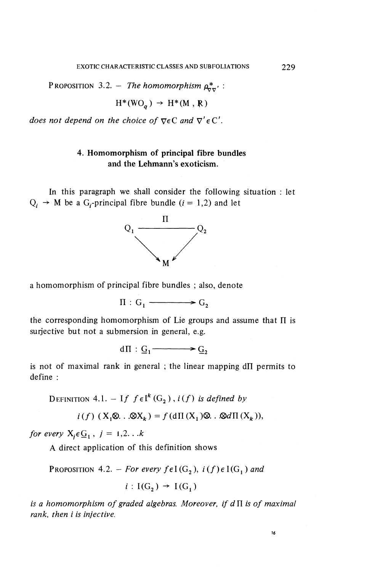PROPOSITION 3.2. - The homomorphism  $\rho_{\nabla\nabla}^*$  :

$$
H^*(WO_\sigma) \rightarrow H^*(M, R)
$$

*does not depend on the choice of*  $\nabla \in \mathbb{C}$  *and*  $\nabla' \in \mathbb{C}'$ *.* 

# **4. Homomorphism of principal fibre bundles and the Lehmann's exoticism.**

In this paragraph we shall consider the following situation : let  $Q_i \rightarrow M$  be a G<sub>i</sub>-principal fibre bundle (i = 1,2) and let



a homomorphism of principal fibre bundles ; also, denote

 $\Pi : G_1 \longrightarrow G_2$ 

the corresponding homomorphism of Lie groups and assume that  $\Pi$  is surjective but not a submersion in general, e.g.

 $d\Pi$ :  $G_1 \longrightarrow G_2$ 

is not of maximal rank in general ; the linear mapping  $d\Pi$  permits to define :

DEFINITION 4.1,  $-$  If  $f \in I^k(G^1), i(f)$  is defined by

$$
i(f) (X_1 \otimes \ldots \otimes X_k) = f(d\Pi(X_1) \otimes \ldots \otimes d\Pi(X_k)),
$$

*for every*  $X_i \in \mathcal{G}_1$ ,  $j = 1,2...k$ 

A direct application of this definition shows

PROPOSITION 4.2. - *For every fel*  $(G_2)$ ,  $i(f) \in I(G_1)$  and

 $i$  : I(G<sub>2</sub>)  $\rightarrow$  I(G<sub>1</sub>)

*is a homomorphism of graded algebras. Moreover, if dH is of maximal rank, then i is infective.*

$$
\mathcal{L}_{\mathcal{A}}(x)
$$

16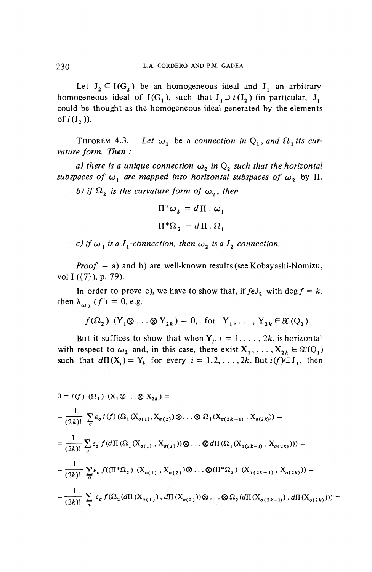Let  $J_2 \subset I(G_2)$  be an homogeneous ideal and  $J_1$  an arbitrary homogeneous ideal of  $I(G<sub>1</sub>)$ , such that  $J<sub>1</sub> \supseteq i(J<sub>2</sub>)$  (in particular,  $J<sub>1</sub>$ could be thought as the homogeneous ideal generated by the elements of  $i(J_2)$ ).

THEOREM 4.3. – Let  $\omega_1$  be a connection in  $Q_1$ , and  $\Omega_1$  its cur*vature form. Then :*

*a)* there is a unique connection  $\omega_2$  in  $Q_2$  such that the horizontal *subspaces of*  $\omega$ <sup>*, are mapped into horizontal subspaces of*  $\omega$ *, by*  $\Pi$ *.*</sup>

*b)* if  $\Omega$ , is the curvature form of  $\omega$ , then

$$
\Pi^* \omega_2 = d \Pi \cdot \omega_1
$$

$$
\Pi^* \Omega_2 = d \Pi \cdot \Omega_1
$$

*c*) if  $\omega_1$  is a J<sub>1</sub>-connection, then  $\omega_2$  is a J<sub>2</sub>-connection.

*Proof. —* a) and b) are well-known results (see Kobayashi-Nomizu, vol I ({7}), p. 79).

In order to prove c), we have to show that, if  $f \in J_2$  with deg  $f = k$ , then  $\lambda_{\omega_2}(f) = 0$ , e.g.

$$
f(\Omega_2)
$$
  $(Y_1 \otimes \ldots \otimes Y_{2k}) = 0$ , for  $Y_1, \ldots, Y_{2k} \in \mathcal{X}(Q_2)$ 

But it suffices to show that when  $Y_i$ ,  $i = 1, ..., 2k$ , is horizontal with respect to  $\omega_2$  and, in this case, there exist  $X_1, \ldots, X_{2k} \in \mathcal{X}(Q_1)$ such that  $d\Pi(X_i) = Y_i$  for every  $i = 1,2, \ldots, 2k$ . But  $i(f) \in J_1$ , then

$$
0 = i(f) (\Omega_1) (X_1 \otimes ... \otimes X_{2k}) =
$$
  
\n
$$
= \frac{1}{(2k)!} \sum_{\sigma} \epsilon_{\sigma} i(f) (\Omega_1(X_{\sigma(1)}, X_{\sigma(2)}) \otimes ... \otimes \Omega_1(X_{\sigma(2k-1)}, X_{\sigma(2k)})) =
$$
  
\n
$$
= \frac{1}{(2k)!} \sum_{\sigma} \epsilon_{\sigma} f(d\Pi(\Omega_1(X_{\sigma(1)}, X_{\sigma(2)})) \otimes ... \otimes d\Pi(\Omega_1(X_{\sigma(2k-1)}, X_{\sigma(2k)}))) =
$$
  
\n
$$
= \frac{1}{(2k)!} \sum_{\sigma} \epsilon_{\sigma} f((\Pi^*\Omega_2) (X_{\sigma(1)}, X_{\sigma(2)}) \otimes ... \otimes (\Pi^*\Omega_2) (X_{\sigma(2k-1)}, X_{\sigma(2k)})) =
$$
  
\n
$$
= \frac{1}{(2k)!} \sum_{\sigma} \epsilon_{\sigma} f(\Omega_2(d\Pi(X_{\sigma(1)}), d\Pi(X_{\sigma(2)})) \otimes ... \otimes \Omega_2(d\Pi(X_{\sigma(2k-1)}), d\Pi(X_{\sigma(2k)}))) =
$$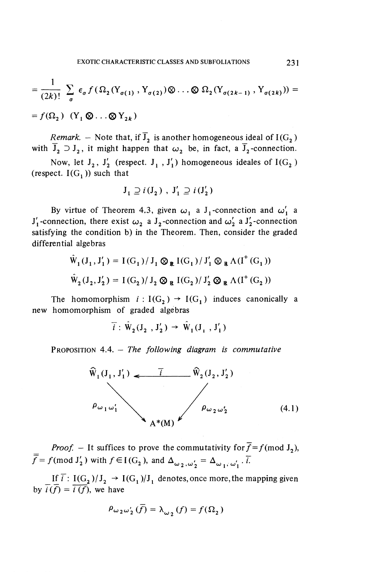$$
= \frac{1}{(2k)!} \sum_{\sigma} \epsilon_{\sigma} f(\Omega_2(Y_{\sigma(1)}, Y_{\sigma(2)}) \otimes \ldots \otimes \Omega_2(Y_{\sigma(2k-1)}, Y_{\sigma(2k)})) =
$$
  
=  $f(\Omega_2) (Y_1 \otimes \ldots \otimes Y_{2k})$ 

*Remark.* – Note that, if  $\overline{J}_2$  is another homogeneous ideal of I(G<sub>2</sub>) with  $\overline{J}_2 \supset J_2$ , it might happen that  $\omega_2$  be, in fact, a  $\overline{J}_2$ -connection.

Now, let  $J_2$ ,  $J'_2$  (respect.  $J_1$ ,  $J'_1$ ) homogeneous ideales of  $I(G_2)$ (respect.  $I(G_i)$ ) such that

$$
\mathbf{J}_1 \supseteq i \left( \mathbf{J}_2 \right) , \ \mathbf{J}'_1 \supseteq i \left( \mathbf{J}'_2 \right)
$$

By virtue of Theorem 4.3, given  $\omega_1$  a J<sub>1</sub>-connection and  $\omega'_1$  a  $J_1'$ -connection, there exist  $\omega_2$  a  $J_2$ -connection and  $\omega_2'$  a  $J_2'$ -connection satisfying the condition b) in the Theorem. Then, consider the graded differential algebras

$$
\hat{W}_1(J_1, J'_1) = I(G_1) / J_1 \otimes_R I(G_1) / J'_1 \otimes_R \Lambda(I^+(G_1))
$$
  

$$
\hat{W}_2(J_2, J'_2) = I(G_2) / J_2 \otimes_R I(G_2) / J'_2 \otimes_R \Lambda(I^+(G_2))
$$

The homomorphism  $i : I(G_2) \rightarrow I(G_1)$  induces canonically a new homomorphism of graded algebras

$$
\overline{i}: \hat{W}_2(J_2, J'_2) \rightarrow \hat{W}_1(J_1, J'_1)
$$

PROPOSITION 4.4. - The following diagram is commutative



*Proof.* – It suffices to prove the commutativity for  $\overline{f} = f \pmod{J_2}$ ,  $\overline{\overline{f}} = f \text{ (mod } J'_2)$  with  $f \in I(G_2)$ , and  $\Delta_{\omega_2,\omega'_2} = \Delta_{\omega_1,\omega'_1} \cdot \overline{i}$ .

If  $\overline{i}$ : I(G<sub>2</sub>)/J<sub>2</sub>  $\rightarrow$  I(G<sub>1</sub>)/J<sub>1</sub> denotes, once more, the mapping given by  $\overline{i(f)} = \overline{i(f)}$ , we have

$$
\rho_{\omega_2\omega_2'}(\overline{f})=\lambda_{\omega_2}(f)=f(\Omega_2)
$$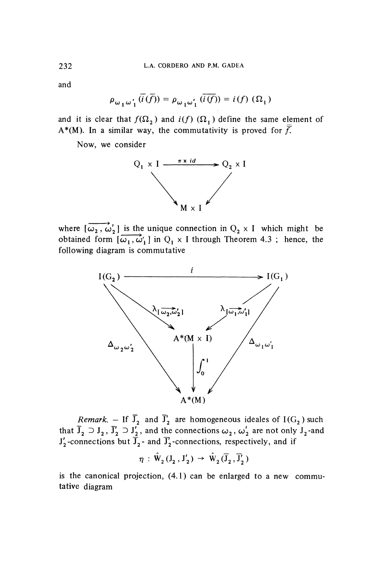**and**

$$
\rho_{\omega_1\omega'_1}(\overline{i}(\overline{f})) = \rho_{\omega_1\omega'_1}(\overline{i(f)}) = i(f)(\Omega_1)
$$

and it is clear that  $f(\Omega_2)$  and  $i(f)$   $(\Omega_1)$  define the same element of A<sup>\*</sup>(M). In a similar way, the commutativity is proved for  $\overline{f}$ .

Now, we consider



where  $\left[\overrightarrow{\omega_2}, \overrightarrow{\omega'_2}\right]$  is the unique connection in  $Q_2 \times I$  which might be obtained form  $\overrightarrow{[\omega_1,\omega_1]}$  in  $Q_1 \times I$  through Theorem 4.3; hence, the following diagram is commutative



*Remark.* – If  $\overline{J}_2$  and  $\overline{J}'_2$  are homogeneous ideales of I(G<sub>2</sub>) such that  $\overline{J}_2 \supset J_2$ ,  $\overline{J}'_2 \supset J'_2$ , and the connections  $\omega_2$ ,  $\omega'_2$  are not only  $J_2$ -and  $J'_{2}$ -connections but  $\overline{J}_{2}$ - and  $\overline{J}'_{2}$ -connections, respectively, and if

 $\eta$  :  $\hat{W}_2(J_2,J'_2) \rightarrow \hat{W}_2(\overline{J}_2,\overline{J}'_2)$ 

is the canonical projection, (4.1) can be enlarged to a new commutative diagram

232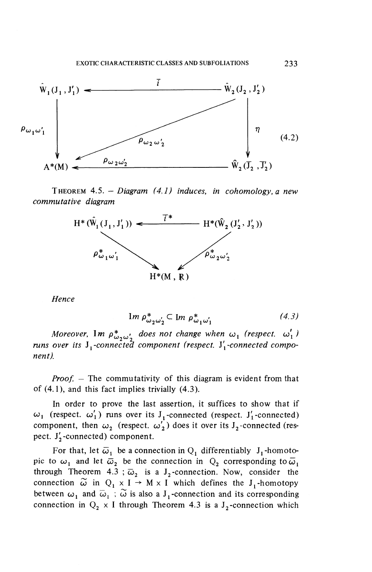

THEOREM 4.5. *—Diagram (4,1 ) induces, in cohomology, a new commutative diagram*



Hence

$$
\operatorname{Im} \rho_{\omega_2 \omega'_2}^* \subset \operatorname{Im} \rho_{\omega_1 \omega'_1}^* \tag{4.3}
$$

*Moreover,*  $\mathbf{Im} \, p^{\ast}_{\omega_2 \omega'_2}$  does not change when  $\omega_1$  (respect.  $\omega'_1$ ) runs over its J<sub>1</sub>-connected component (respect. J'<sub>1</sub>-connected compo*nent).*

*Proof. -* The commutativity of this diagram is evident from that of (4.1), and this fact implies trivially (4.3).

In order to prove the last assertion, it suffices to show that if  $\omega_1$  (respect.  $\omega'_1$ ) runs over its J<sub>1</sub>-connected (respect. J<sub>1</sub>-connected) component, then  $\omega_2$  (respect,  $\omega'_2$ ) does it over its J<sub>2</sub>-connected (respect.  $J'_{2}$ -connected) component.

For that, let  $\overline{\omega}_1$  be a connection in  $Q_1$  differentiably J<sub>1</sub>-homotopic to  $\omega_1$  and let  $\overline{\omega}_2$  be the connection in  $Q_2$  corresponding to  $\overline{\omega}_1$ through Theorem 4.3;  $\overline{\omega}_2$  is a J<sub>2</sub>-connection. Now, consider the connection  $\widetilde{\omega}$  in  $Q_1 \times I \rightarrow M \times I$  which defines the J<sub>1</sub>-homotopy between  $\omega_1$  and  $\overline{\omega}_1$ ;  $\widetilde{\omega}$  is also a J<sub>1</sub>-connection and its corresponding connection in  $Q_2 \times I$  through Theorem 4.3 is a J<sub>2</sub>-connection which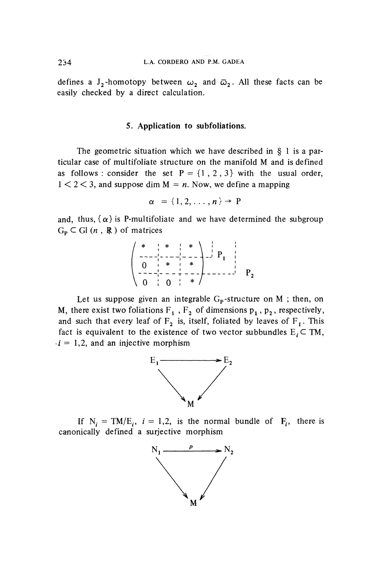defines a J<sub>2</sub>-homotopy between  $\omega_2$  and  $\bar{\omega}_2$ . All these facts can be easily checked by a direct calculation.

#### **5. Application to subfoliations.**

The geometric situation which we have described in § 1 is a particular case of multifoliate structure on the manifold M and is defined as follows : consider the set  $P = \{1, 2, 3\}$  with the usual order,  $1 < 2 < 3$ , and suppose dim  $M = n$ . Now, we define a mapping

$$
\alpha = \{1, 2, \ldots, n\} \rightarrow P
$$

and, thus,  $\{\alpha\}$  is P-multifoliate and we have determined the subgroup  $G_p \subset$  Gl  $(n, R)$  of matrices

$$
\begin{pmatrix} * & * & * & * \\ - & - & - & - & - \\ 0 & * & * & * \\ - & - & - & - & - \\ 0 & 0 & * & * \end{pmatrix} P_1
$$

Let us suppose given an integrable  $G_p$ -structure on M; then, on M, there exist two foliations  $F_1$ ,  $F_2$  of dimensions  $p_1$ ,  $p_2$ , respectively, and such that every leaf of  $F_2$  is, itself, foliated by leaves of  $F_1$ . This fact is equivalent to the existence of two vector subbundles  $E_i \subset TM$ ,  $i = 1, 2$ , and an injective morphism



If  $N_i = TM/E_i$ ,  $i = 1,2$ , is the normal bundle of  $F_i$ , there is canonically defined a surjective morphism

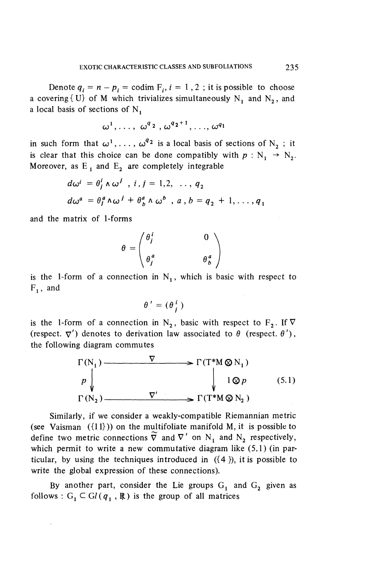Denote  $q_i = n - p_i = \text{codim } F_i$ ,  $i = 1, 2$ ; it is possible to choose a covering  $\{U\}$  of M which trivializes simultaneously N<sub>1</sub> and N<sub>2</sub>, and a local basis of sections of  $N_1$ 

$$
\omega^1,\ldots,\ \omega^{q\,2}\ ,\omega^{q\,2+1},\ldots,\omega^{q_1}
$$

in such form that  $\omega^1, \ldots, \omega^{q_2}$  is a local basis of sections of N<sub>2</sub>; it is clear that this choice can be done compatibly with  $p : N_1 \rightarrow N_2$ . Moreover, as  $E_1$  and  $E_2$  are completely integrable

$$
d\omega^{i} = \theta_{j}^{i} \wedge \omega^{j} , i, j = 1, 2, ..., q_{2}
$$
  

$$
d\omega^{a} = \theta_{j}^{a} \wedge \omega^{j} + \theta_{b}^{a} \wedge \omega^{b} , a, b = q_{2} + 1, ..., q_{1}
$$

and the matrix of 1-forms

$$
\theta = \begin{pmatrix} \theta_i^i & 0 \\ \theta_i^a & \theta_b^a \end{pmatrix}
$$

is the 1-form of a connection in  $N_1$ , which is basic with respect to  $F_1$ , and

$$
\theta' = (\theta_j^i)
$$

is the 1-form of a connection in N<sub>2</sub>, basic with respect to F<sub>2</sub>. If  $\nabla$ (respect.  $\nabla'$ ) denotes to derivation law associated to  $\theta$  (respect.  $\theta'$ ), the following diagram commutes

$$
\Gamma(N_1) \longrightarrow \Gamma(T^*M \otimes N_1)
$$
\n
$$
p \downarrow \qquad \qquad \downarrow \qquad 1 \otimes p \qquad (5.1)
$$
\n
$$
\Gamma(N_2) \longrightarrow \nabla' \longrightarrow \Gamma(T^*M \otimes N_2)
$$

Similarly, if we consider a weakly-compatible Riemannian metric (see Vaisman  $({11})$ ) on the multifoliate manifold M, it is possible to define two metric connections  $\tilde{\nabla}$  and  $\nabla'$  on N<sub>1</sub> and N<sub>2</sub> respectively, which permit to write a new commutative diagram like (5.1) (in particular, by using the techniques introduced in  $({4})$ , it is possible to write the global expression of these connections).

By another part, consider the Lie groups  $G_1$  and  $G_2$  given as follows :  $G_1 \subset Gl(q_1, \mathbb{R})$  is the group of all matrices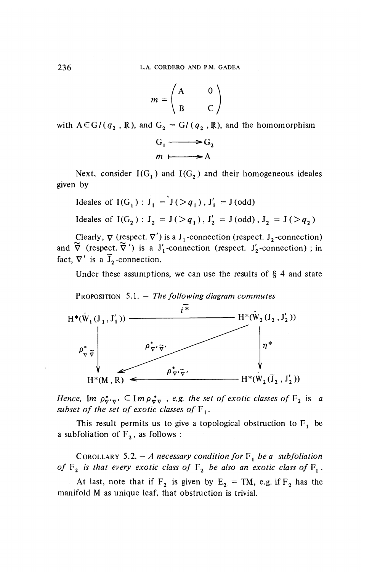$$
m = \begin{pmatrix} A & 0 \\ B & C \end{pmatrix}
$$

with  $A \in GL(q_2, \mathbb{R})$ , and  $G_2 = GL(q_2, \mathbb{R})$ , and the homomorphism



Next, consider  $I(G_1)$  and  $I(G_2)$  and their homogeneous ideales given by

Ideales of 
$$
I(G_1) : J_1 = J(\geq q_1), J'_1 = J(\text{odd})
$$
  
Ideales of  $I(G_2) : J_2 = J(\geq q_1), J'_2 = J(\text{odd}), J_2 = J(\geq q_2)$ 

Clearly,  $\nabla$  (respect.  $\nabla'$ ) is a  $J_1$ -connection (respect.  $J_2$ -connection) and  $\tilde{\nabla}$  (respect.  $\tilde{\nabla}'$ ) is a J'<sub>1</sub>-connection (respect. J'<sub>2</sub>-connection); in fact,  $\nabla'$  is a  $\overline{J}_2$ -connection.

Under these assumptions, we can use the results of  $\S$  4 and state





*Hence,* Im  $\rho^*_{\nabla' \nabla'} \subset \mathbf{Im} \rho^*_{\nabla \nabla}$ , *e.g. the set of exotic classes of*  $F^2$  is a *subset of the set of exotic classes of*  $F_1$ .

This result permits us to give a topological obstruction to  $F_1$  be a subfoliation of  $F_2$ , as follows :

COROLLARY 5.2. - *A necessary condition for*  $F_1$  *be a subfoliation* of  $F^2$  *is that every exotic class of*  $F^2$  *be also an exotic class of*  $F^1$ .

At last, note that if  $F_2$  is given by  $E_2 = TM$ , e.g. if  $F_2$  has the manifold M as unique leaf, that obstruction is trivial.